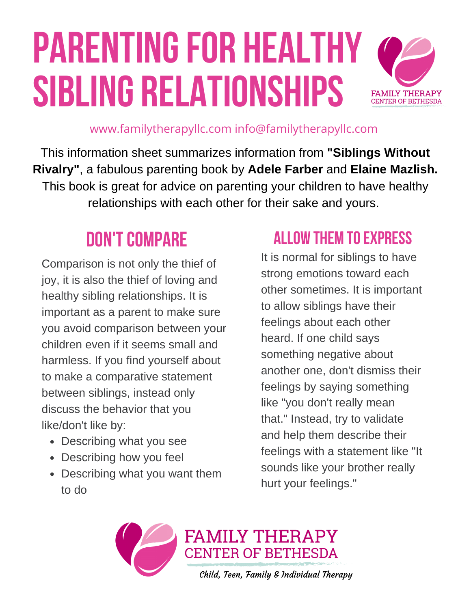# **PARENTING FOR HEALTHY sibling relationships**



www.familytherapyllc.com info@familytherapyllc.com

This information sheet summarizes information from **"Siblings Without Rivalry"**, a fabulous parenting book by **Adele Farber** and **Elaine Mazlish.** This book is great for advice on parenting your children to have healthy relationships with each other for their sake and yours.

### **DON'T COMPARE**

Comparison is not only the thief of joy, it is also the thief of loving and healthy sibling relationships. It is important as a parent to make sure you avoid comparison between your children even if it seems small and harmless. If you find yourself about to make a comparative statement between siblings, instead only discuss the behavior that you like/don't like by:

- Describing what you see
- Describing how you feel
- Describing what you want them to do

#### **allow them toexpress**

It is normal for siblings to have strong emotions toward each other sometimes. It is important to allow siblings have their feelings about each other heard. If one child says something negative about another one, don't dismiss their feelings by saying something like "you don't really mean that." Instead, try to validate and help them describe their feelings with a statement like "It sounds like your brother really hurt your feelings."